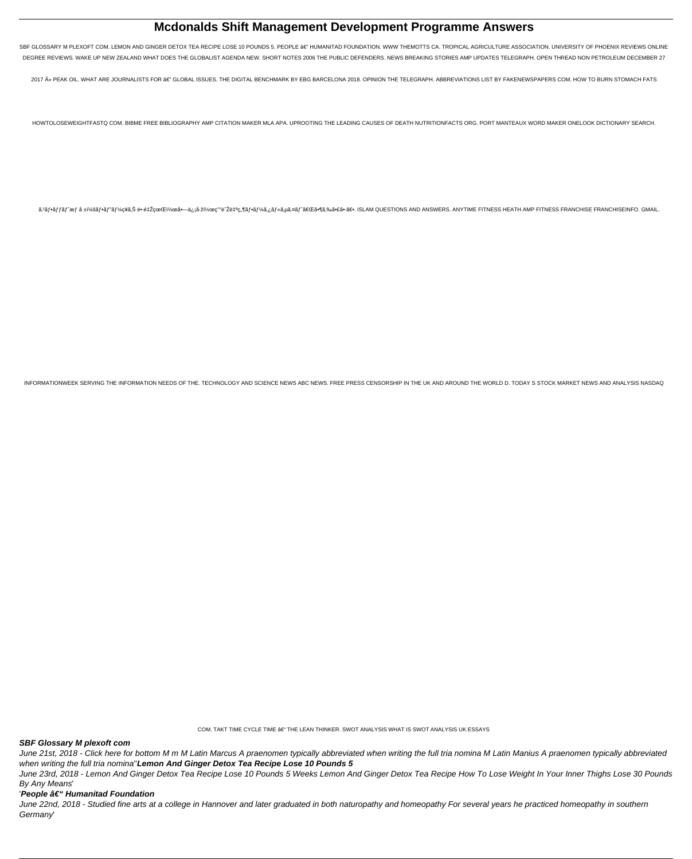# **Mcdonalds Shift Management Development Programme Answers**

SBF GLOSSARY M PLEXOFT COM. LEMON AND GINGER DETOX TEA RECIPE LOSE 10 POUNDS 5. PEOPLE â€" HUMANITAD FOUNDATION. WWW THEMOTTS CA. TROPICAL AGRICULTURE ASSOCIATION. UNIVERSITY OF PHOENIX REVIEWS ONLINE DEGREE REVIEWS. WAKE UP NEW ZEALAND WHAT DOES THE GLOBALIST AGENDA NEW. SHORT NOTES 2006 THE PUBLIC DEFENDERS. NEWS BREAKING STORIES AMP UPDATES TELEGRAPH. OPEN THREAD NON PETROLEUM DECEMBER 27

2017 » PEAK OIL. WHAT ARE JOURNALISTS FOR â€" GLOBAL ISSUES. THE DIGITAL BENCHMARK BY EBG BARCELONA 2018. OPINION THE TELEGRAPH. ABBREVIATIONS LIST BY FAKENEWSPAPERS COM. HOW TO BURN STOMACH FATS

HOWTOLOSEWEIGHTFASTQ COM. BIBME FREE BIBLIOGRAPHY AMP CITATION MAKER MLA APA. UPROOTING THE LEADING CAUSES OF DEATH NUTRITIONFACTS ORG. PORT MANTEAUX WORD MAKER ONELOOK DICTIONARY SEARCH.

ã,'フãƒfãƒ^æƒ å±ï¼šãƒ•ベーç¥ã,Š é•∙野県|å•—ä¿¡å-žï½œç"°è^Žè‡ªç"¶ãƒ•ーã,¿ãƒ«ã,µã,¤ãƒ^「ã•¶ã,‰ã•£ã•∙〕. ISLAM QUESTIONS AND ANSWERS. ANYTIME FITNESS HEATH AMP FITNESS FRANCHISE FRANCHISEINFO. GMAIL.

INFORMATIONWEEK SERVING THE INFORMATION NEEDS OF THE. TECHNOLOGY AND SCIENCE NEWS ABC NEWS. FREE PRESS CENSORSHIP IN THE UK AND AROUND THE WORLD D. TODAY S STOCK MARKET NEWS AND ANALYSIS NASDAQ

#### COM. TAKT TIME CYCLE TIME â€" THE LEAN THINKER. SWOT ANALYSIS WHAT IS SWOT ANALYSIS UK ESSAYS

## **SBF Glossary M plexoft com**

June 21st, 2018 - Click here for bottom M m M Latin Marcus A praenomen typically abbreviated when writing the full tria nomina M Latin Manius A praenomen typically abbreviated when writing the full tria nomina"Lemon And Ginger Detox Tea Recipe Lose 10 Pounds 5

June 23rd, 2018 - Lemon And Ginger Detox Tea Recipe Lose 10 Pounds 5 Weeks Lemon And Ginger Detox Tea Recipe How To Lose Weight In Your Inner Thighs Lose 30 Pounds By Any Means'

## 'People – Humanitad Foundation

June 22nd, 2018 - Studied fine arts at a college in Hannover and later graduated in both naturopathy and homeopathy For several years he practiced homeopathy in southern Germany